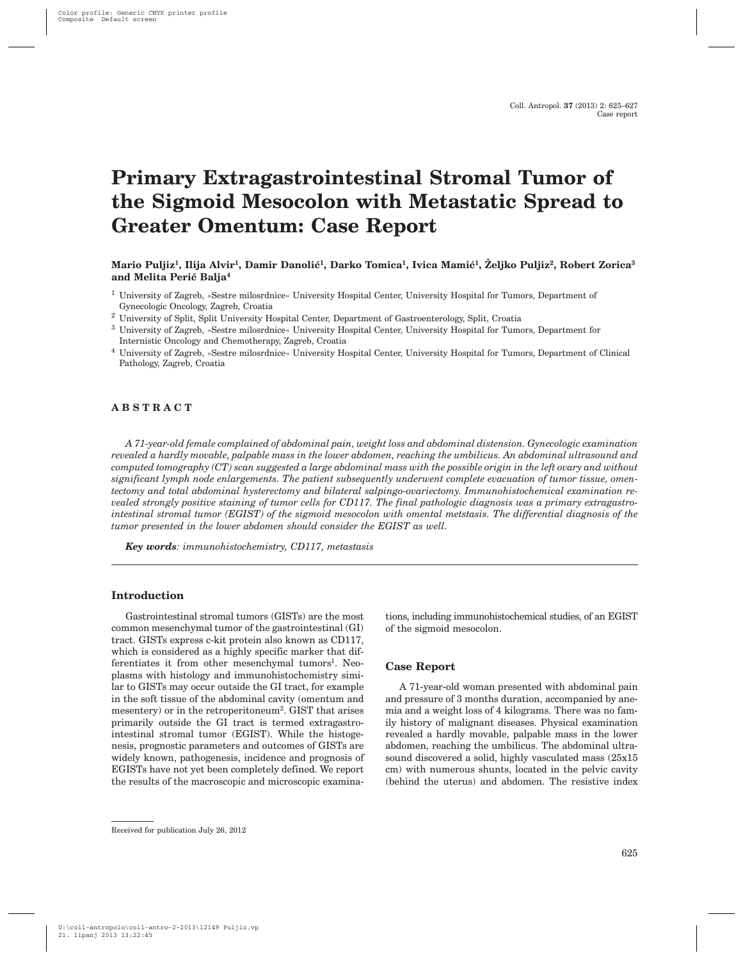# **Primary Extragastrointestinal Stromal Tumor of the Sigmoid Mesocolon with Metastatic Spread to Greater Omentum: Case Report**

**Mario Puljiz1, Ilija Alvir1, Damir Danoli}1, Darko Tomica1, Ivica Mami}1, @eljko Puljiz2, Robert Zorica3 and Melita Peri} Balja4**

- <sup>1</sup> University of Zagreb, »Sestre milosrdnice« University Hospital Center, University Hospital for Tumors, Department of Gynecologic Oncology, Zagreb, Croatia
- <sup>2</sup> University of Split, Split University Hospital Center, Department of Gastroenterology, Split, Croatia
- <sup>3</sup> University of Zagreb, »Sestre milosrdnice« University Hospital Center, University Hospital for Tumors, Department for Internistic Oncology and Chemotherapy, Zagreb, Croatia
- <sup>4</sup> University of Zagreb, »Sestre milosrdnice« University Hospital Center, University Hospital for Tumors, Department of Clinical Pathology, Zagreb, Croatia

# **ABSTRACT**

*A 71-year-old female complained of abdominal pain, weight loss and abdominal distension. Gynecologic examination revealed a hardly movable, palpable mass in the lower abdomen, reaching the umbilicus. An abdominal ultrasound and computed tomography (CT) scan suggested a large abdominal mass with the possible origin in the left ovary and without significant lymph node enlargements. The patient subsequently underwent complete evacuation of tumor tissue, omentectomy and total abdominal hysterectomy and bilateral salpingo-ovariectomy. Immunohistochemical examination revealed strongly positive staining of tumor cells for CD117. The final pathologic diagnosis was a primary extragastrointestinal stromal tumor (EGIST) of the sigmoid mesocolon with omental metstasis. The differential diagnosis of the tumor presented in the lower abdomen should consider the EGIST as well.*

*Key words: immunohistochemistry, CD117, metastasis*

# **Introduction**

Gastrointestinal stromal tumors (GISTs) are the most common mesenchymal tumor of the gastrointestinal (GI) tract. GISTs express c-kit protein also known as CD117, which is considered as a highly specific marker that differentiates it from other mesenchymal tumors<sup>1</sup>. Neoplasms with histology and immunohistochemistry similar to GISTs may occur outside the GI tract, for example in the soft tissue of the abdominal cavity (omentum and mesentery) or in the retroperitoneum<sup>2</sup>. GIST that arises primarily outside the GI tract is termed extragastrointestinal stromal tumor (EGIST). While the histogenesis, prognostic parameters and outcomes of GISTs are widely known, pathogenesis, incidence and prognosis of EGISTs have not yet been completely defined. We report the results of the macroscopic and microscopic examina-

of the sigmoid mesocolon.

A 71-year-old woman presented with abdominal pain and pressure of 3 months duration, accompanied by anemia and a weight loss of 4 kilograms. There was no family history of malignant diseases. Physical examination revealed a hardly movable, palpable mass in the lower abdomen, reaching the umbilicus. The abdominal ultrasound discovered a solid, highly vasculated mass (25x15 cm) with numerous shunts, located in the pelvic cavity (behind the uterus) and abdomen. The resistive index

tions, including immunohistochemical studies, of an EGIST

**Case Report**

Received for publication July 26, 2012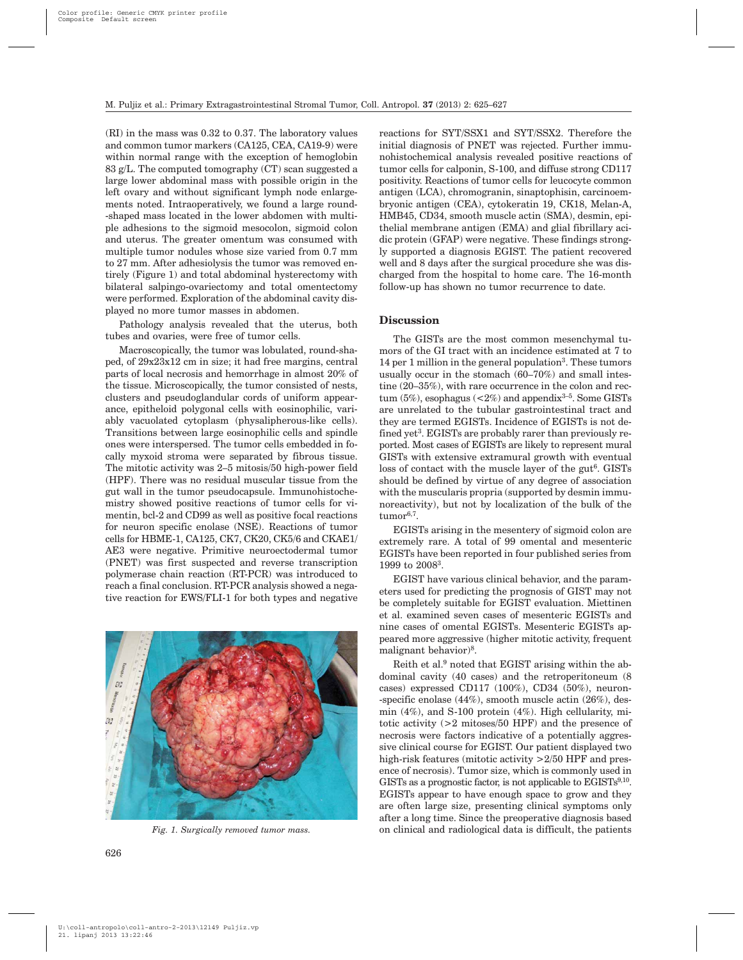(RI) in the mass was 0.32 to 0.37. The laboratory values and common tumor markers (CA125, CEA, CA19-9) were within normal range with the exception of hemoglobin 83 g/L. The computed tomography (CT) scan suggested a large lower abdominal mass with possible origin in the left ovary and without significant lymph node enlargements noted. Intraoperatively, we found a large round- -shaped mass located in the lower abdomen with multiple adhesions to the sigmoid mesocolon, sigmoid colon and uterus. The greater omentum was consumed with multiple tumor nodules whose size varied from 0.7 mm to 27 mm. After adhesiolysis the tumor was removed entirely (Figure 1) and total abdominal hysterectomy with bilateral salpingo-ovariectomy and total omentectomy were performed. Exploration of the abdominal cavity displayed no more tumor masses in abdomen.

Pathology analysis revealed that the uterus, both tubes and ovaries, were free of tumor cells.

Macroscopically, the tumor was lobulated, round-shaped, of 29x23x12 cm in size; it had free margins, central parts of local necrosis and hemorrhage in almost 20% of the tissue. Microscopically, the tumor consisted of nests, clusters and pseudoglandular cords of uniform appearance, epitheloid polygonal cells with eosinophilic, variably vacuolated cytoplasm (physalipherous-like cells). Transitions between large eosinophilic cells and spindle ones were interspersed. The tumor cells embedded in focally myxoid stroma were separated by fibrous tissue. The mitotic activity was 2–5 mitosis/50 high-power field (HPF). There was no residual muscular tissue from the gut wall in the tumor pseudocapsule. Immunohistochemistry showed positive reactions of tumor cells for vimentin, bcl-2 and CD99 as well as positive focal reactions for neuron specific enolase (NSE). Reactions of tumor cells for HBME-1, CA125, CK7, CK20, CK5/6 and CKAE1/ AE3 were negative. Primitive neuroectodermal tumor (PNET) was first suspected and reverse transcription polymerase chain reaction (RT-PCR) was introduced to reach a final conclusion. RT-PCR analysis showed a negative reaction for EWS/FLI-1 for both types and negative



*Fig. 1. Surgically removed tumor mass.*

reactions for SYT/SSX1 and SYT/SSX2. Therefore the initial diagnosis of PNET was rejected. Further immunohistochemical analysis revealed positive reactions of tumor cells for calponin, S-100, and diffuse strong CD117 positivity. Reactions of tumor cells for leucocyte common antigen (LCA), chromogranin, sinaptophisin, carcinoembryonic antigen (CEA), cytokeratin 19, CK18, Melan-A, HMB45, CD34, smooth muscle actin (SMA), desmin, epithelial membrane antigen (EMA) and glial fibrillary acidic protein (GFAP) were negative. These findings strongly supported a diagnosis EGIST. The patient recovered well and 8 days after the surgical procedure she was discharged from the hospital to home care. The 16-month follow-up has shown no tumor recurrence to date.

### **Discussion**

The GISTs are the most common mesenchymal tumors of the GI tract with an incidence estimated at 7 to 14 per 1 million in the general population<sup>3</sup>. These tumors usually occur in the stomach (60–70%) and small intestine (20–35%), with rare occurrence in the colon and rectum  $(5\%)$ , esophagus  $( $2\%)$  and appendix<sup>3-5</sup>. Some GISTs$ are unrelated to the tubular gastrointestinal tract and they are termed EGISTs. Incidence of EGISTs is not defined yet<sup>3</sup>. EGISTs are probably rarer than previously reported. Most cases of EGISTs are likely to represent mural GISTs with extensive extramural growth with eventual loss of contact with the muscle layer of the gut<sup>6</sup>. GISTs should be defined by virtue of any degree of association with the muscularis propria (supported by desmin immunoreactivity), but not by localization of the bulk of the tumor<sup>6,7</sup>.

EGISTs arising in the mesentery of sigmoid colon are extremely rare. A total of 99 omental and mesenteric EGISTs have been reported in four published series from 1999 to 20083.

EGIST have various clinical behavior, and the parameters used for predicting the prognosis of GIST may not be completely suitable for EGIST evaluation. Miettinen et al. examined seven cases of mesenteric EGISTs and nine cases of omental EGISTs. Mesenteric EGISTs appeared more aggressive (higher mitotic activity, frequent malignant behavior $)^8$ .

Reith et al.<sup>9</sup> noted that EGIST arising within the abdominal cavity (40 cases) and the retroperitoneum (8 cases) expressed CD117 (100%), CD34 (50%), neuron- -specific enolase (44%), smooth muscle actin (26%), desmin  $(4\%)$ , and S-100 protein  $(4\%)$ . High cellularity, mitotic activity (>2 mitoses/50 HPF) and the presence of necrosis were factors indicative of a potentially aggressive clinical course for EGIST. Our patient displayed two high-risk features (mitotic activity  $>2/50$  HPF and presence of necrosis). Tumor size, which is commonly used in GISTs as a prognostic factor, is not applicable to  $EGISTs<sup>9,10</sup>$ . EGISTs appear to have enough space to grow and they are often large size, presenting clinical symptoms only after a long time. Since the preoperative diagnosis based on clinical and radiological data is difficult, the patients